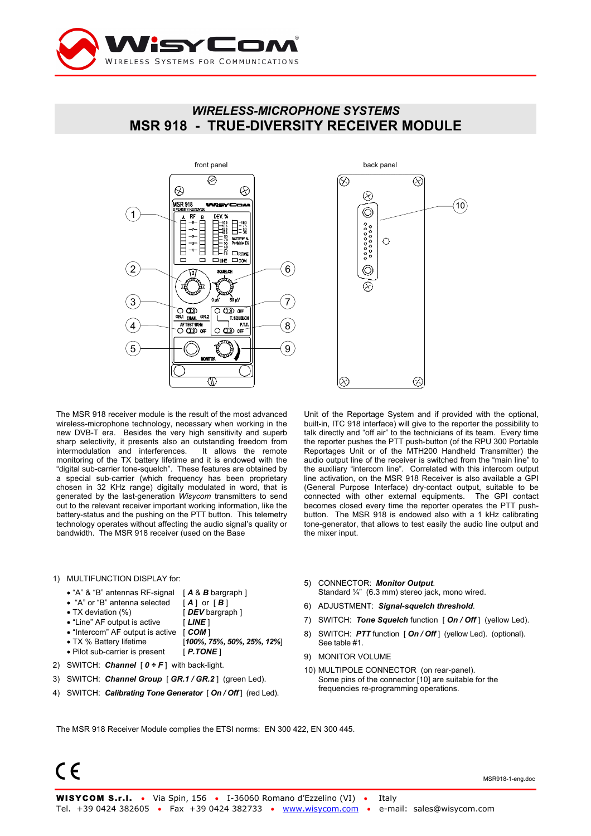

# *WIRELESS-MICROPHONE SYSTEMS*  **MSR 918 - TRUE-DIVERSITY RECEIVER MODULE**



The MSR 918 receiver module is the result of the most advanced wireless-microphone technology, necessary when working in the new DVB-T era. Besides the very high sensitivity and superb sharp selectivity, it presents also an outstanding freedom from intermodulation and interferences. It allows the remote monitoring of the TX battery lifetime and it is endowed with the "digital sub-carrier tone-squelch". These features are obtained by a special sub-carrier (which frequency has been proprietary chosen in 32 KHz range) digitally modulated in word, that is generated by the last-generation *Wisycom* transmitters to send out to the relevant receiver important working information, like the battery-status and the pushing on the PTT button. This telemetry technology operates without affecting the audio signal's quality or bandwidth. The MSR 918 receiver (used on the Base

#### 1) MULTIFUNCTION DISPLAY for:

- 
- "A" & "B" antennas RF-signal [ **A** & *B* bargraph ]<br>• "A" or "B" antenna selected [ **A** ] or [ *B*] • "A" or "B" antenna selected
- TX deviation (%) **[DEV** bargraph ]
- "Line" AF output is active [ *LINE* ]
- "Intercom" AF output is active [ *COM* ]
- TX % Battery lifetime [*100%, 75%, 50%, 25%, 12%*] • Pilot sub-carrier is present [ *P.TONE* ]
- 
- 2) SWITCH: *Channel* [ *0 ÷ F* ] with back-light.
- 3) SWITCH: *Channel Group* [ *GR.1 / GR.2* ] (green Led).
- 4) SWITCH: *Calibrating Tone Generator* [ *On / Off* ] (red Led).



Unit of the Reportage System and if provided with the optional, built-in, ITC 918 interface) will give to the reporter the possibility to talk directly and "off air" to the technicians of its team. Every time the reporter pushes the PTT push-button (of the RPU 300 Portable Reportages Unit or of the MTH200 Handheld Transmitter) the audio output line of the receiver is switched from the "main line" to the auxiliary "intercom line". Correlated with this intercom output line activation, on the MSR 918 Receiver is also available a GPI (General Purpose Interface) dry-contact output, suitable to be connected with other external equipments. The GPI contact becomes closed every time the reporter operates the PTT pushbutton. The MSR 918 is endowed also with a 1 kHz calibrating tone-generator, that allows to test easily the audio line output and the mixer input.

- 5) CONNECTOR: *Monitor Output*.
- Standard ¼" (6.3 mm) stereo jack, mono wired.
- 6) ADJUSTMENT: *Signal-squelch threshold*.
- 7) SWITCH: *Tone Squelch* function [ *On / Off* ] (yellow Led).
- 8) SWITCH: *PTT* function [ *On / Off* ] (yellow Led). (optional). See table #1.
- 9) MONITOR VOLUME
- 10) MULTIPOLE CONNECTOR (on rear-panel). Some pins of the connector [10] are suitable for the frequencies re-programming operations.

The MSR 918 Receiver Module complies the ETSI norms: EN 300 422, EN 300 445.

 $\epsilon$ 

MSR918-1-eng.doc